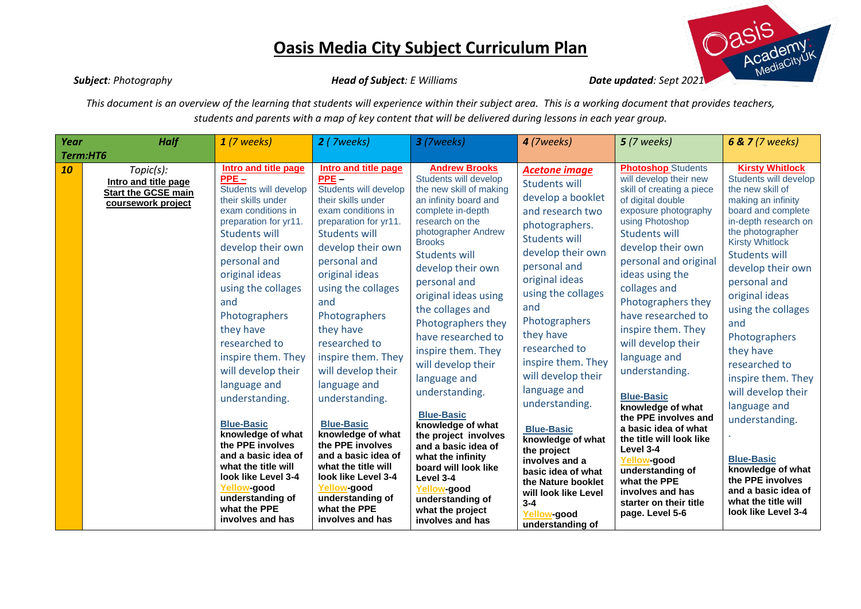

*Subject: Photography Head of Subject: E Williams Date updated: Sept 2021*

*This document is an overview of the learning that students will experience within their subject area. This is a working document that provides teachers, students and parents with a map of key content that will be delivered during lessons in each year group.*

| Year     | <b>Half</b>                                                                           | $1(7$ weeks)                                                                                                                                                                                                                                                                                                                                                                                                                                                                                                                                                                            | 2 (7weeks)                                                                                                                                                                                                                                                                                                                                                                                                                                                                                                                                                                              | 3 (7weeks)                                                                                                                                                                                                                                                                                                                                                                                                                                                                                                                                                                                                                                  | 4 (7weeks)                                                                                                                                                                                                                                                                                                                                                                                                                                                                                                                                    | <b>5</b> (7 weeks)                                                                                                                                                                                                                                                                                                                                                                                                                                                                                                                                                                                                                         | <b>6 &amp; 7</b> (7 weeks)                                                                                                                                                                                                                                                                                                                                                                                                                                                                                                                                        |
|----------|---------------------------------------------------------------------------------------|-----------------------------------------------------------------------------------------------------------------------------------------------------------------------------------------------------------------------------------------------------------------------------------------------------------------------------------------------------------------------------------------------------------------------------------------------------------------------------------------------------------------------------------------------------------------------------------------|-----------------------------------------------------------------------------------------------------------------------------------------------------------------------------------------------------------------------------------------------------------------------------------------------------------------------------------------------------------------------------------------------------------------------------------------------------------------------------------------------------------------------------------------------------------------------------------------|---------------------------------------------------------------------------------------------------------------------------------------------------------------------------------------------------------------------------------------------------------------------------------------------------------------------------------------------------------------------------------------------------------------------------------------------------------------------------------------------------------------------------------------------------------------------------------------------------------------------------------------------|-----------------------------------------------------------------------------------------------------------------------------------------------------------------------------------------------------------------------------------------------------------------------------------------------------------------------------------------------------------------------------------------------------------------------------------------------------------------------------------------------------------------------------------------------|--------------------------------------------------------------------------------------------------------------------------------------------------------------------------------------------------------------------------------------------------------------------------------------------------------------------------------------------------------------------------------------------------------------------------------------------------------------------------------------------------------------------------------------------------------------------------------------------------------------------------------------------|-------------------------------------------------------------------------------------------------------------------------------------------------------------------------------------------------------------------------------------------------------------------------------------------------------------------------------------------------------------------------------------------------------------------------------------------------------------------------------------------------------------------------------------------------------------------|
| Term:HT6 |                                                                                       |                                                                                                                                                                                                                                                                                                                                                                                                                                                                                                                                                                                         |                                                                                                                                                                                                                                                                                                                                                                                                                                                                                                                                                                                         |                                                                                                                                                                                                                                                                                                                                                                                                                                                                                                                                                                                                                                             |                                                                                                                                                                                                                                                                                                                                                                                                                                                                                                                                               |                                                                                                                                                                                                                                                                                                                                                                                                                                                                                                                                                                                                                                            |                                                                                                                                                                                                                                                                                                                                                                                                                                                                                                                                                                   |
| 10       | Topic(s):<br>Intro and title page<br><b>Start the GCSE main</b><br>coursework project | <b>Intro and title page</b><br>$PPE -$<br>Students will develop<br>their skills under<br>exam conditions in<br>preparation for yr11.<br>Students will<br>develop their own<br>personal and<br>original ideas<br>using the collages<br>and<br>Photographers<br>they have<br>researched to<br>inspire them. They<br>will develop their<br>language and<br>understanding.<br><b>Blue-Basic</b><br>knowledge of what<br>the PPE involves<br>and a basic idea of<br>what the title will<br>look like Level 3-4<br><b>Yellow-good</b><br>understanding of<br>what the PPE<br>involves and has | Intro and title page<br>$PPE -$<br>Students will develop<br>their skills under<br>exam conditions in<br>preparation for yr11.<br><b>Students will</b><br>develop their own<br>personal and<br>original ideas<br>using the collages<br>and<br>Photographers<br>they have<br>researched to<br>inspire them. They<br>will develop their<br>language and<br>understanding.<br><b>Blue-Basic</b><br>knowledge of what<br>the PPE involves<br>and a basic idea of<br>what the title will<br>look like Level 3-4<br><b>Yellow-good</b><br>understanding of<br>what the PPE<br>involves and has | <b>Andrew Brooks</b><br>Students will develop<br>the new skill of making<br>an infinity board and<br>complete in-depth<br>research on the<br>photographer Andrew<br><b>Brooks</b><br>Students will<br>develop their own<br>personal and<br>original ideas using<br>the collages and<br>Photographers they<br>have researched to<br>inspire them. They<br>will develop their<br>language and<br>understanding.<br><b>Blue-Basic</b><br>knowledge of what<br>the project involves<br>and a basic idea of<br>what the infinity<br>board will look like<br>Level 3-4<br>Yellow-good<br>understanding of<br>what the project<br>involves and has | <b>Acetone image</b><br><b>Students will</b><br>develop a booklet<br>and research two<br>photographers.<br><b>Students will</b><br>develop their own<br>personal and<br>original ideas<br>using the collages<br>and<br>Photographers<br>they have<br>researched to<br>inspire them. They<br>will develop their<br>language and<br>understanding.<br><b>Blue-Basic</b><br>knowledge of what<br>the project<br>involves and a<br>basic idea of what<br>the Nature booklet<br>will look like Level<br>$3 - 4$<br>Yellow-good<br>understanding of | <b>Photoshop Students</b><br>will develop their new<br>skill of creating a piece<br>of digital double<br>exposure photography<br>using Photoshop<br><b>Students will</b><br>develop their own<br>personal and original<br>ideas using the<br>collages and<br>Photographers they<br>have researched to<br>inspire them. They<br>will develop their<br>language and<br>understanding.<br><b>Blue-Basic</b><br>knowledge of what<br>the PPE involves and<br>a basic idea of what<br>the title will look like<br>Level 3-4<br>Yellow-good<br>understanding of<br>what the PPE<br>involves and has<br>starter on their title<br>page. Level 5-6 | <b>Kirsty Whitlock</b><br>Students will develop<br>the new skill of<br>making an infinity<br>board and complete<br>in-depth research on<br>the photographer<br><b>Kirsty Whitlock</b><br><b>Students will</b><br>develop their own<br>personal and<br>original ideas<br>using the collages<br>and<br>Photographers<br>they have<br>researched to<br>inspire them. They<br>will develop their<br>language and<br>understanding.<br><b>Blue-Basic</b><br>knowledge of what<br>the PPE involves<br>and a basic idea of<br>what the title will<br>look like Level 3-4 |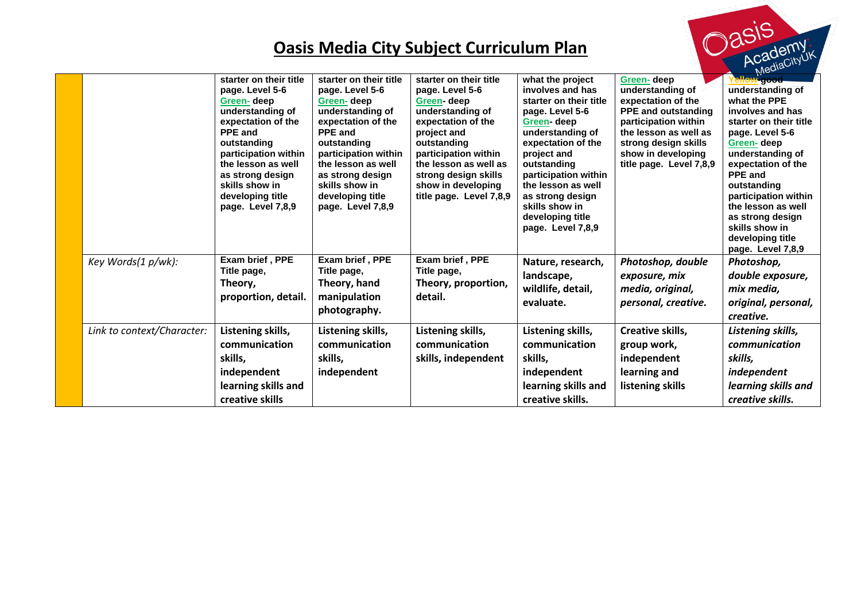|                            |                                                                                                                                                                                                                                                                 |                                                                                                                                                                                                                                                                 | <b>Oasis Media City Subject Curriculum Plan</b>                                                                                                                                                                                                           |                                                                                                                                                                                                                                                                                                      |                                                                                                                                                                                                              | vasis<br>Academy                                                                                                                                                                                                                                                                                                                  |
|----------------------------|-----------------------------------------------------------------------------------------------------------------------------------------------------------------------------------------------------------------------------------------------------------------|-----------------------------------------------------------------------------------------------------------------------------------------------------------------------------------------------------------------------------------------------------------------|-----------------------------------------------------------------------------------------------------------------------------------------------------------------------------------------------------------------------------------------------------------|------------------------------------------------------------------------------------------------------------------------------------------------------------------------------------------------------------------------------------------------------------------------------------------------------|--------------------------------------------------------------------------------------------------------------------------------------------------------------------------------------------------------------|-----------------------------------------------------------------------------------------------------------------------------------------------------------------------------------------------------------------------------------------------------------------------------------------------------------------------------------|
|                            | starter on their title<br>page. Level 5-6<br>Green-deep<br>understanding of<br>expectation of the<br><b>PPE</b> and<br>outstanding<br>participation within<br>the lesson as well<br>as strong design<br>skills show in<br>developing title<br>page. Level 7,8,9 | starter on their title<br>page. Level 5-6<br>Green-deep<br>understanding of<br>expectation of the<br><b>PPE and</b><br>outstanding<br>participation within<br>the lesson as well<br>as strong design<br>skills show in<br>developing title<br>page. Level 7,8,9 | starter on their title<br>page. Level 5-6<br>Green-deep<br>understanding of<br>expectation of the<br>project and<br>outstanding<br>participation within<br>the lesson as well as<br>strong design skills<br>show in developing<br>title page. Level 7,8,9 | what the project<br>involves and has<br>starter on their title<br>page. Level 5-6<br>Green-deep<br>understanding of<br>expectation of the<br>project and<br>outstanding<br>participation within<br>the lesson as well<br>as strong design<br>skills show in<br>developing title<br>page. Level 7,8,9 | Green-deep<br>understanding of<br>expectation of the<br><b>PPE and outstanding</b><br>participation within<br>the lesson as well as<br>strong design skills<br>show in developing<br>title page. Level 7,8,9 | -good-<br>understanding of<br>what the PPE<br>involves and has<br>starter on their title<br>page. Level 5-6<br>Green-deep<br>understanding of<br>expectation of the<br><b>PPE</b> and<br>outstanding<br>participation within<br>the lesson as well<br>as strong design<br>skills show in<br>developing title<br>page. Level 7,8,9 |
| Key Words(1 p/wk):         | Exam brief, PPE<br>Title page,<br>Theory,<br>proportion, detail.                                                                                                                                                                                                | Exam brief, PPE<br>Title page,<br>Theory, hand<br>manipulation<br>photography.                                                                                                                                                                                  | Exam brief, PPE<br>Title page,<br>Theory, proportion,<br>detail.                                                                                                                                                                                          | Nature, research,<br>landscape,<br>wildlife, detail,<br>evaluate.                                                                                                                                                                                                                                    | Photoshop, double<br>exposure, mix<br>media, original,<br>personal, creative.                                                                                                                                | Photoshop,<br>double exposure,<br>mix media,<br>original, personal,<br>creative.                                                                                                                                                                                                                                                  |
| Link to context/Character: | Listening skills,<br>communication<br>skills,<br>independent<br>learning skills and<br>creative skills                                                                                                                                                          | Listening skills,<br>communication<br>skills,<br>independent                                                                                                                                                                                                    | Listening skills,<br>communication<br>skills, independent                                                                                                                                                                                                 | Listening skills,<br>communication<br>skills,<br>independent<br>learning skills and<br>creative skills.                                                                                                                                                                                              | Creative skills,<br>group work,<br>independent<br>learning and<br>listening skills                                                                                                                           | Listening skills,<br>communication<br>skills.<br>independent<br>learning skills and<br>creative skills.                                                                                                                                                                                                                           |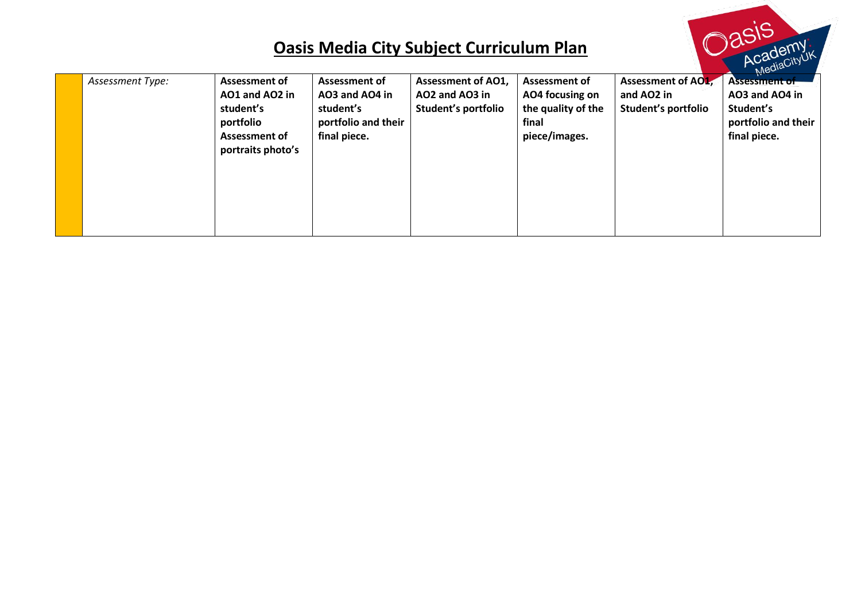SİS

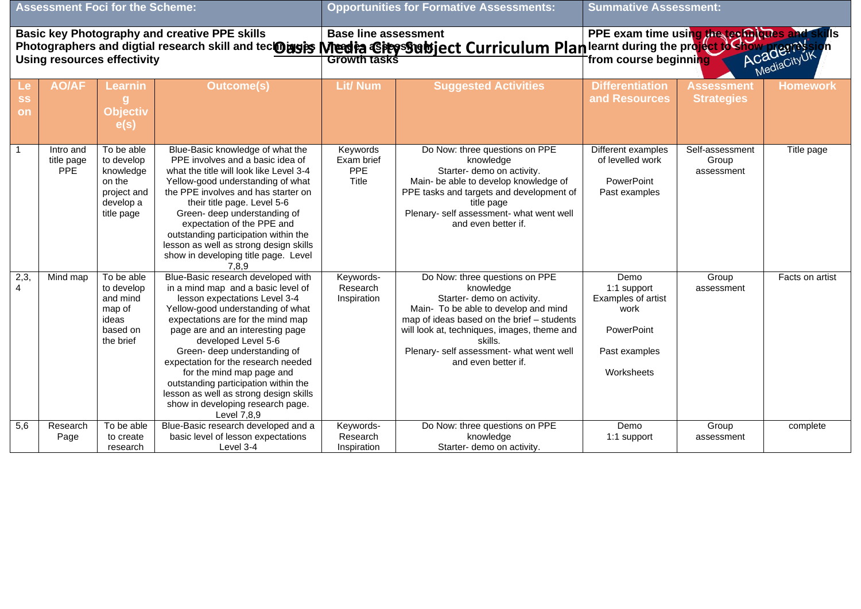| <b>Assessment Foci for the Scheme:</b>                                                                                                                                                                                                           |                                       |                                                                                           |                                                                                                                                                                                                                                                                                                                                                                                                                                                                                          |                                               | <b>Opportunities for Formative Assessments:</b>                                                                                                                                                                                                                                              | <b>Summative Assessment:</b>                                                                   |                                        |                 |  |
|--------------------------------------------------------------------------------------------------------------------------------------------------------------------------------------------------------------------------------------------------|---------------------------------------|-------------------------------------------------------------------------------------------|------------------------------------------------------------------------------------------------------------------------------------------------------------------------------------------------------------------------------------------------------------------------------------------------------------------------------------------------------------------------------------------------------------------------------------------------------------------------------------------|-----------------------------------------------|----------------------------------------------------------------------------------------------------------------------------------------------------------------------------------------------------------------------------------------------------------------------------------------------|------------------------------------------------------------------------------------------------|----------------------------------------|-----------------|--|
| Base line assessment<br>Photographers and digtial research skill and tec <b>oragists Media Giters Statute Curriculum Plan</b> learnt during the project to show megnession<br>Using resources effectivity <b>CAGGISTS CONTRACT CURRY CONTRAC</b> |                                       |                                                                                           |                                                                                                                                                                                                                                                                                                                                                                                                                                                                                          |                                               |                                                                                                                                                                                                                                                                                              | ills                                                                                           |                                        |                 |  |
| Le<br><b>SS</b><br>on                                                                                                                                                                                                                            | <b>AO/AF</b>                          | Learnin<br>g<br><b>Objectiv</b><br>e(s)                                                   | <b>Outcome(s)</b>                                                                                                                                                                                                                                                                                                                                                                                                                                                                        | <b>Lit/ Num</b>                               | <b>Suggested Activities</b>                                                                                                                                                                                                                                                                  | <b>Differentiation</b><br>and Resources                                                        | <b>Assessment</b><br><b>Strategies</b> | <b>Homework</b> |  |
| $\overline{1}$                                                                                                                                                                                                                                   | Intro and<br>title page<br><b>PPE</b> | To be able<br>to develop<br>knowledge<br>on the<br>project and<br>develop a<br>title page | Blue-Basic knowledge of what the<br>PPE involves and a basic idea of<br>what the title will look like Level 3-4<br>Yellow-good understanding of what<br>the PPE involves and has starter on<br>their title page. Level 5-6<br>Green- deep understanding of<br>expectation of the PPE and<br>outstanding participation within the<br>lesson as well as strong design skills<br>show in developing title page. Level<br>7,8,9                                                              | Keywords<br>Exam brief<br><b>PPE</b><br>Title | Do Now: three questions on PPE<br>knowledge<br>Starter- demo on activity.<br>Main- be able to develop knowledge of<br>PPE tasks and targets and development of<br>title page<br>Plenary- self assessment- what went well<br>and even better if.                                              | Different examples<br>of levelled work<br>PowerPoint<br>Past examples                          | Self-assessment<br>Group<br>assessment | Title page      |  |
| 2,3,<br>$\overline{4}$                                                                                                                                                                                                                           | Mind map                              | To be able<br>to develop<br>and mind<br>map of<br>ideas<br>based on<br>the brief          | Blue-Basic research developed with<br>in a mind map and a basic level of<br>lesson expectations Level 3-4<br>Yellow-good understanding of what<br>expectations are for the mind map<br>page are and an interesting page<br>developed Level 5-6<br>Green- deep understanding of<br>expectation for the research needed<br>for the mind map page and<br>outstanding participation within the<br>lesson as well as strong design skills<br>show in developing research page.<br>Level 7.8.9 | Keywords-<br>Research<br>Inspiration          | Do Now: three questions on PPE<br>knowledge<br>Starter- demo on activity.<br>Main- To be able to develop and mind<br>map of ideas based on the brief - students<br>will look at, techniques, images, theme and<br>skills.<br>Plenary- self assessment- what went well<br>and even better if. | Demo<br>1:1 support<br>Examples of artist<br>work<br>PowerPoint<br>Past examples<br>Worksheets | Group<br>assessment                    | Facts on artist |  |
| 5,6                                                                                                                                                                                                                                              | Research<br>Page                      | To be able<br>to create<br>research                                                       | Blue-Basic research developed and a<br>basic level of lesson expectations<br>Level 3-4                                                                                                                                                                                                                                                                                                                                                                                                   | Keywords-<br>Research<br>Inspiration          | Do Now: three questions on PPE<br>knowledge<br>Starter- demo on activity.                                                                                                                                                                                                                    | Demo<br>1:1 support                                                                            | Group<br>assessment                    | complete        |  |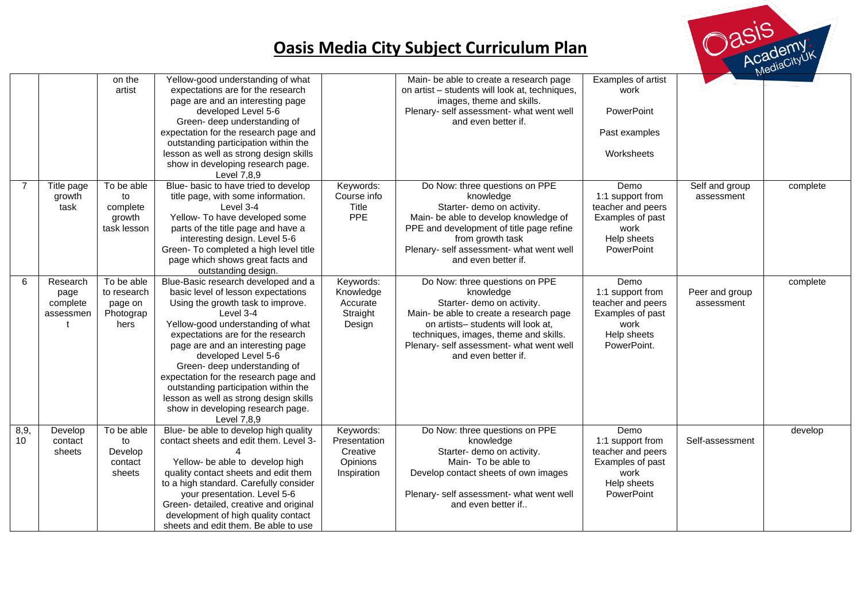

|                |                                           | on the<br>artist                                          | Yellow-good understanding of what<br>expectations are for the research<br>page are and an interesting page<br>developed Level 5-6<br>Green- deep understanding of<br>expectation for the research page and<br>outstanding participation within the<br>lesson as well as strong design skills<br>show in developing research page.<br>Level 7,8,9                                                                                                                                |                                                                  | Main- be able to create a research page<br>on artist - students will look at, techniques,<br>images, theme and skills.<br>Plenary- self assessment- what went well<br>and even better if.                                                                              | Examples of artist<br>work<br>PowerPoint<br>Past examples<br>Worksheets                                 |                              |          |
|----------------|-------------------------------------------|-----------------------------------------------------------|---------------------------------------------------------------------------------------------------------------------------------------------------------------------------------------------------------------------------------------------------------------------------------------------------------------------------------------------------------------------------------------------------------------------------------------------------------------------------------|------------------------------------------------------------------|------------------------------------------------------------------------------------------------------------------------------------------------------------------------------------------------------------------------------------------------------------------------|---------------------------------------------------------------------------------------------------------|------------------------------|----------|
| $\overline{7}$ | Title page<br>growth<br>task              | To be able<br>to<br>complete<br>growth<br>task lesson     | Blue- basic to have tried to develop<br>title page, with some information.<br>Level 3-4<br>Yellow- To have developed some<br>parts of the title page and have a<br>interesting design. Level 5-6<br>Green- To completed a high level title<br>page which shows great facts and<br>outstanding design.                                                                                                                                                                           | Keywords:<br>Course info<br>Title<br>PPE                         | Do Now: three questions on PPE<br>knowledge<br>Starter- demo on activity.<br>Main- be able to develop knowledge of<br>PPE and development of title page refine<br>from growth task<br>Plenary- self assessment- what went well<br>and even better if.                  | Demo<br>1:1 support from<br>teacher and peers<br>Examples of past<br>work<br>Help sheets<br>PowerPoint  | Self and group<br>assessment | complete |
| 6              | Research<br>page<br>complete<br>assessmen | To be able<br>to research<br>page on<br>Photograp<br>hers | Blue-Basic research developed and a<br>basic level of lesson expectations<br>Using the growth task to improve.<br>Level 3-4<br>Yellow-good understanding of what<br>expectations are for the research<br>page are and an interesting page<br>developed Level 5-6<br>Green- deep understanding of<br>expectation for the research page and<br>outstanding participation within the<br>lesson as well as strong design skills<br>show in developing research page.<br>Level 7,8,9 | Keywords:<br>Knowledge<br>Accurate<br>Straight<br>Design         | Do Now: three questions on PPE<br>knowledge<br>Starter- demo on activity.<br>Main- be able to create a research page<br>on artists- students will look at,<br>techniques, images, theme and skills.<br>Plenary- self assessment- what went well<br>and even better if. | Demo<br>1:1 support from<br>teacher and peers<br>Examples of past<br>work<br>Help sheets<br>PowerPoint. | Peer and group<br>assessment | complete |
| 8,9,<br>10     | Develop<br>contact<br>sheets              | To be able<br>to<br>Develop<br>contact<br>sheets          | Blue- be able to develop high quality<br>contact sheets and edit them. Level 3-<br>4<br>Yellow- be able to develop high<br>quality contact sheets and edit them<br>to a high standard. Carefully consider<br>your presentation. Level 5-6<br>Green- detailed, creative and original<br>development of high quality contact<br>sheets and edit them. Be able to use                                                                                                              | Keywords:<br>Presentation<br>Creative<br>Opinions<br>Inspiration | Do Now: three questions on PPE<br>knowledge<br>Starter- demo on activity.<br>Main- To be able to<br>Develop contact sheets of own images<br>Plenary- self assessment- what went well<br>and even better if                                                             | Demo<br>1:1 support from<br>teacher and peers<br>Examples of past<br>work<br>Help sheets<br>PowerPoint  | Self-assessment              | develop  |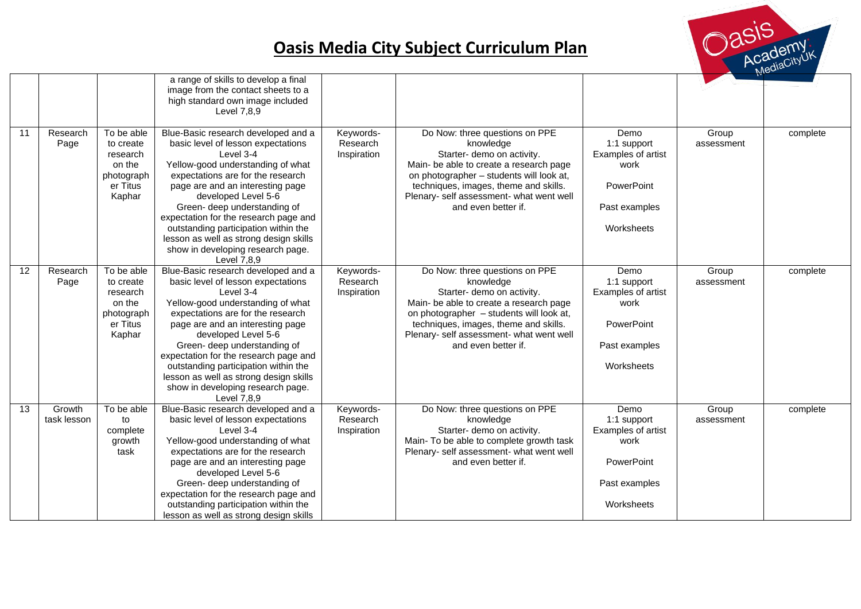

|                 |                       |                                                                                   | a range of skills to develop a final<br>image from the contact sheets to a<br>high standard own image included<br>Level 7,8,9                                                                                                                                                                                                                                                                                                              |                                      |                                                                                                                                                                                                                                                                              |                                                                                                |                     |          |
|-----------------|-----------------------|-----------------------------------------------------------------------------------|--------------------------------------------------------------------------------------------------------------------------------------------------------------------------------------------------------------------------------------------------------------------------------------------------------------------------------------------------------------------------------------------------------------------------------------------|--------------------------------------|------------------------------------------------------------------------------------------------------------------------------------------------------------------------------------------------------------------------------------------------------------------------------|------------------------------------------------------------------------------------------------|---------------------|----------|
| 11              | Research<br>Page      | To be able<br>to create<br>research<br>on the<br>photograph<br>er Titus<br>Kaphar | Blue-Basic research developed and a<br>basic level of lesson expectations<br>Level 3-4<br>Yellow-good understanding of what<br>expectations are for the research<br>page are and an interesting page<br>developed Level 5-6<br>Green- deep understanding of<br>expectation for the research page and<br>outstanding participation within the<br>lesson as well as strong design skills<br>show in developing research page.<br>Level 7,8,9 | Keywords-<br>Research<br>Inspiration | Do Now: three questions on PPE<br>knowledge<br>Starter- demo on activity.<br>Main- be able to create a research page<br>on photographer - students will look at,<br>techniques, images, theme and skills.<br>Plenary- self assessment- what went well<br>and even better if. | Demo<br>1:1 support<br>Examples of artist<br>work<br>PowerPoint<br>Past examples<br>Worksheets | Group<br>assessment | complete |
| $\overline{12}$ | Research<br>Page      | To be able<br>to create<br>research<br>on the<br>photograph<br>er Titus<br>Kaphar | Blue-Basic research developed and a<br>basic level of lesson expectations<br>Level 3-4<br>Yellow-good understanding of what<br>expectations are for the research<br>page are and an interesting page<br>developed Level 5-6<br>Green- deep understanding of<br>expectation for the research page and<br>outstanding participation within the<br>lesson as well as strong design skills<br>show in developing research page.<br>Level 7.8.9 | Keywords-<br>Research<br>Inspiration | Do Now: three questions on PPE<br>knowledge<br>Starter- demo on activity.<br>Main- be able to create a research page<br>on photographer - students will look at,<br>techniques, images, theme and skills.<br>Plenary- self assessment- what went well<br>and even better if. | Demo<br>1:1 support<br>Examples of artist<br>work<br>PowerPoint<br>Past examples<br>Worksheets | Group<br>assessment | complete |
| 13              | Growth<br>task lesson | To be able<br>to<br>complete<br>growth<br>task                                    | Blue-Basic research developed and a<br>basic level of lesson expectations<br>Level 3-4<br>Yellow-good understanding of what<br>expectations are for the research<br>page are and an interesting page<br>developed Level 5-6<br>Green- deep understanding of<br>expectation for the research page and<br>outstanding participation within the<br>lesson as well as strong design skills                                                     | Keywords-<br>Research<br>Inspiration | Do Now: three questions on PPE<br>knowledge<br>Starter- demo on activity.<br>Main- To be able to complete growth task<br>Plenary- self assessment- what went well<br>and even better if.                                                                                     | Demo<br>1:1 support<br>Examples of artist<br>work<br>PowerPoint<br>Past examples<br>Worksheets | Group<br>assessment | complete |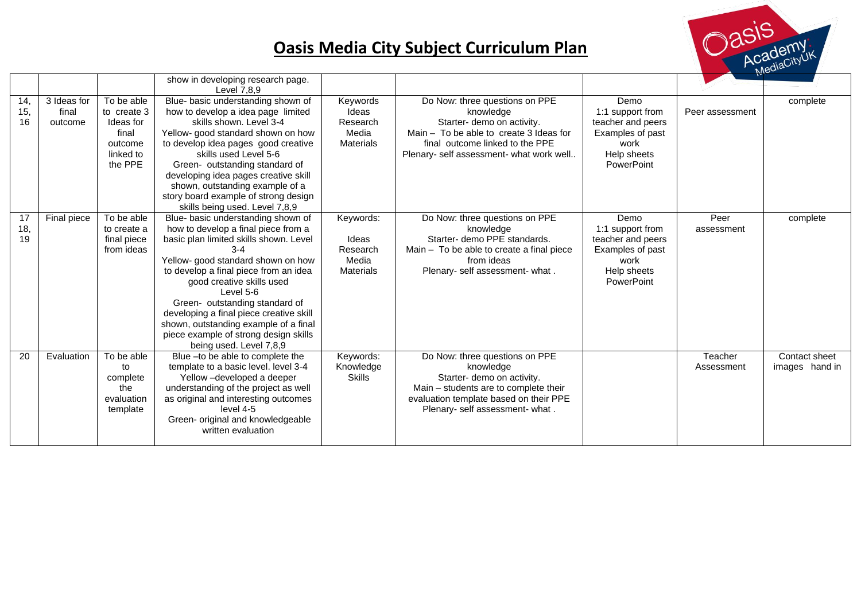

|                  |                                 |                                                                                    | show in developing research page.<br>Level 7.8.9                                                                                                                                                                                                                                                                                                                                                                                                  |                                                             |                                                                                                                                                                                                       |                                                                                                        |                       |                                 |
|------------------|---------------------------------|------------------------------------------------------------------------------------|---------------------------------------------------------------------------------------------------------------------------------------------------------------------------------------------------------------------------------------------------------------------------------------------------------------------------------------------------------------------------------------------------------------------------------------------------|-------------------------------------------------------------|-------------------------------------------------------------------------------------------------------------------------------------------------------------------------------------------------------|--------------------------------------------------------------------------------------------------------|-----------------------|---------------------------------|
| 14,<br>15,<br>16 | 3 Ideas for<br>final<br>outcome | To be able<br>to create 3<br>Ideas for<br>final<br>outcome<br>linked to<br>the PPE | Blue- basic understanding shown of<br>how to develop a idea page limited<br>skills shown. Level 3-4<br>Yellow- good standard shown on how<br>to develop idea pages good creative<br>skills used Level 5-6<br>Green- outstanding standard of<br>developing idea pages creative skill<br>shown, outstanding example of a<br>story board example of strong design<br>skills being used. Level 7,8,9                                                  | Keywords<br>Ideas<br>Research<br>Media<br>Materials         | Do Now: three questions on PPE<br>knowledge<br>Starter- demo on activity.<br>Main $-$ To be able to create 3 Ideas for<br>final outcome linked to the PPE<br>Plenary- self assessment- what work well | Demo<br>1:1 support from<br>teacher and peers<br>Examples of past<br>work<br>Help sheets<br>PowerPoint | Peer assessment       | complete                        |
| 17<br>18,<br>19  | Final piece                     | To be able<br>to create a<br>final piece<br>from ideas                             | Blue- basic understanding shown of<br>how to develop a final piece from a<br>basic plan limited skills shown. Level<br>$3 - 4$<br>Yellow- good standard shown on how<br>to develop a final piece from an idea<br>good creative skills used<br>Level 5-6<br>Green- outstanding standard of<br>developing a final piece creative skill<br>shown, outstanding example of a final<br>piece example of strong design skills<br>being used. Level 7,8,9 | Keywords:<br>Ideas<br>Research<br>Media<br><b>Materials</b> | Do Now: three questions on PPE<br>knowledge<br>Starter- demo PPE standards.<br>Main - To be able to create a final piece<br>from ideas<br>Plenary- self assessment- what.                             | Demo<br>1:1 support from<br>teacher and peers<br>Examples of past<br>work<br>Help sheets<br>PowerPoint | Peer<br>assessment    | complete                        |
| 20               | Evaluation                      | To be able<br>to<br>complete<br>the<br>evaluation<br>template                      | Blue - to be able to complete the<br>template to a basic level. level 3-4<br>Yellow -developed a deeper<br>understanding of the project as well<br>as original and interesting outcomes<br>level 4-5<br>Green- original and knowledgeable<br>written evaluation                                                                                                                                                                                   | Keywords:<br>Knowledge<br><b>Skills</b>                     | Do Now: three questions on PPE<br>knowledge<br>Starter- demo on activity.<br>Main - students are to complete their<br>evaluation template based on their PPE<br>Plenary- self assessment- what.       |                                                                                                        | Teacher<br>Assessment | Contact sheet<br>images hand in |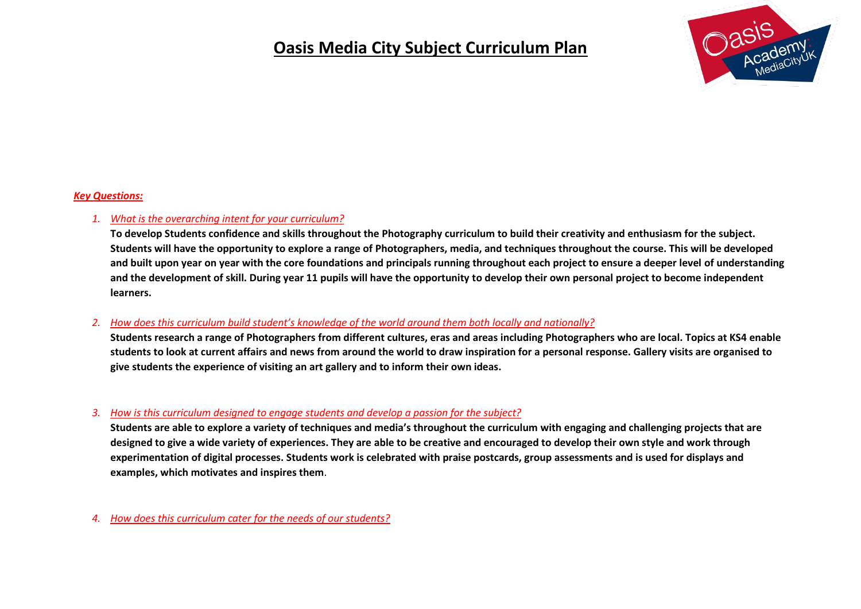

#### *Key Questions:*

#### *1. What is the overarching intent for your curriculum?*

**To develop Students confidence and skills throughout the Photography curriculum to build their creativity and enthusiasm for the subject. Students will have the opportunity to explore a range of Photographers, media, and techniques throughout the course. This will be developed and built upon year on year with the core foundations and principals running throughout each project to ensure a deeper level of understanding and the development of skill. During year 11 pupils will have the opportunity to develop their own personal project to become independent learners.**

#### *2. How does this curriculum build student's knowledge of the world around them both locally and nationally?*

**Students research a range of Photographers from different cultures, eras and areas including Photographers who are local. Topics at KS4 enable students to look at current affairs and news from around the world to draw inspiration for a personal response. Gallery visits are organised to give students the experience of visiting an art gallery and to inform their own ideas.**

#### *3. How is this curriculum designed to engage students and develop a passion for the subject?*

**Students are able to explore a variety of techniques and media's throughout the curriculum with engaging and challenging projects that are designed to give a wide variety of experiences. They are able to be creative and encouraged to develop their own style and work through experimentation of digital processes. Students work is celebrated with praise postcards, group assessments and is used for displays and examples, which motivates and inspires them**.

*4. How does this curriculum cater for the needs of our students?*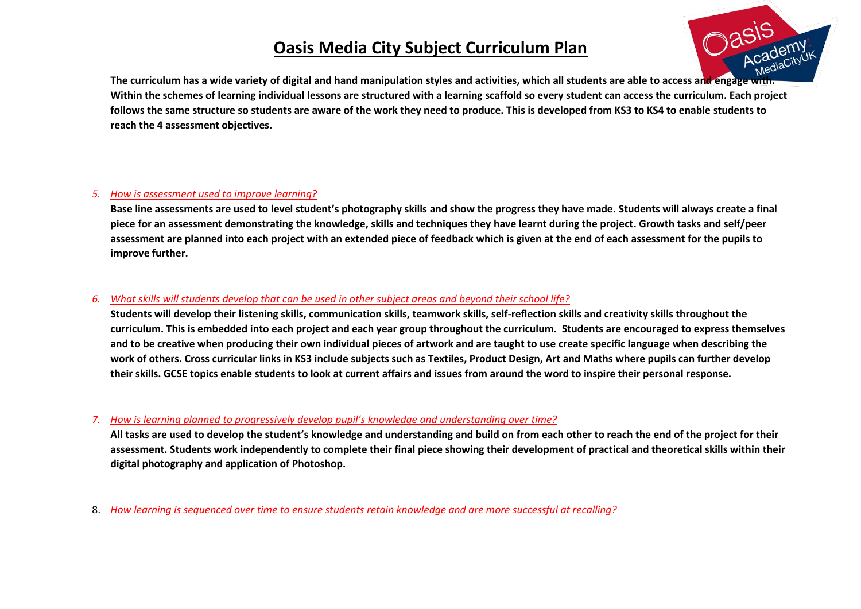

**The curriculum has a wide variety of digital and hand manipulation styles and activities, which all students are able to access and engage with. Within the schemes of learning individual lessons are structured with a learning scaffold so every student can access the curriculum. Each project follows the same structure so students are aware of the work they need to produce. This is developed from KS3 to KS4 to enable students to reach the 4 assessment objectives.**

#### *5. How is assessment used to improve learning?*

**Base line assessments are used to level student's photography skills and show the progress they have made. Students will always create a final piece for an assessment demonstrating the knowledge, skills and techniques they have learnt during the project. Growth tasks and self/peer assessment are planned into each project with an extended piece of feedback which is given at the end of each assessment for the pupils to improve further.**

### *6. What skills will students develop that can be used in other subject areas and beyond their school life?*

**Students will develop their listening skills, communication skills, teamwork skills, self-reflection skills and creativity skills throughout the curriculum. This is embedded into each project and each year group throughout the curriculum. Students are encouraged to express themselves and to be creative when producing their own individual pieces of artwork and are taught to use create specific language when describing the work of others. Cross curricular links in KS3 include subjects such as Textiles, Product Design, Art and Maths where pupils can further develop their skills. GCSE topics enable students to look at current affairs and issues from around the word to inspire their personal response.** 

### *7. How is learning planned to progressively develop pupil's knowledge and understanding over time?*

**All tasks are used to develop the student's knowledge and understanding and build on from each other to reach the end of the project for their assessment. Students work independently to complete their final piece showing their development of practical and theoretical skills within their digital photography and application of Photoshop.**

8. *How learning is sequenced over time to ensure students retain knowledge and are more successful at recalling?*